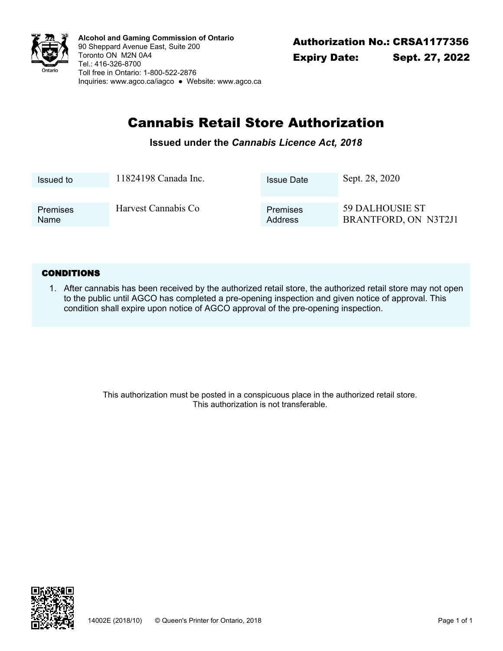

Authorization No.: CRSA1177356 **Alcohol and Gaming Commission of Ontario** 90 Sheppard Avenue East, Suite 200 Toronto ON M2N 0A4 Tel.: 416-326-8700 Toll free in Ontario: 1-800-522-2876 Inquiries: <www.agco.ca/iagco> ● Website: <www.agco.ca>

# Cannabis Retail Store Authorization

### **Issued under the** *Cannabis Licence Act, 2018*

| Issued to               | 11824198 Canada Inc. | <b>Issue Date</b>          | Sept. 28, 2020                                 |
|-------------------------|----------------------|----------------------------|------------------------------------------------|
|                         |                      |                            |                                                |
| <b>Premises</b><br>Name | Harvest Cannabis Co  | <b>Premises</b><br>Address | <b>59 DALHOUSIE ST</b><br>BRANTFORD, ON N3T2J1 |

#### **CONDITIONS**

After cannabis has been received by the authorized retail store, the authorized retail store may not open 1. to the public until AGCO has completed a pre-opening inspection and given notice of approval. This condition shall expire upon notice of AGCO approval of the pre-opening inspection.

> This authorization must be posted in a conspicuous place in the authorized retail store. This authorization is not transferable.